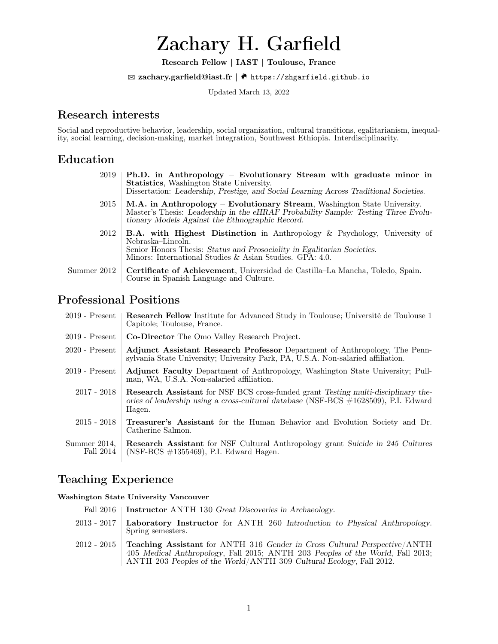# Zachary H. Garfield

Research Fellow | IAST | Toulouse, France

 $\boxtimes$  zachary.garfield@iast.fr |  $\bullet$  https://zhgarfield.github.io

Updated March 13, 2022

# Research interests

Social and reproductive behavior, leadership, social organization, cultural transitions, egalitarianism, inequality, social learning, decision-making, market integration, Southwest Ethiopia. Interdisciplinarity.

# Education

|             | $2019$   Ph.D. in Anthropology – Evolutionary Stream with graduate minor in<br><b>Statistics</b> , Washington State University.<br>Dissertation: Leadership, Prestige, and Social Learning Across Traditional Societies.                     |
|-------------|----------------------------------------------------------------------------------------------------------------------------------------------------------------------------------------------------------------------------------------------|
| 2015        | M.A. in Anthropology – Evolutionary Stream, Washington State University.<br>Master's Thesis: Leadership in the eHRAF Probability Sample: Testing Three Evolu-<br>tionary Models Against the Ethnographic Record.                             |
| 2012        | <b>B.A.</b> with Highest Distinction in Anthropology & Psychology, University of<br>Nebraska–Lincoln.<br>Senior Honors Thesis: Status and Prosociality in Egalitarian Societies.<br>Minors: International Studies & Asian Studies. GPA: 4.0. |
| Summer 2012 | Certificate of Achievement, Universidad de Castilla–La Mancha, Toledo, Spain.<br>Course in Spanish Language and Culture.                                                                                                                     |

# Professional Positions

| $2019$ - Present          | <b>Research Fellow</b> Institute for Advanced Study in Toulouse; Université de Toulouse 1<br>Capitole: Toulouse, France.                                                                  |
|---------------------------|-------------------------------------------------------------------------------------------------------------------------------------------------------------------------------------------|
| $2019$ - Present          | Co-Director The Omo Valley Research Project.                                                                                                                                              |
| $2020$ - Present          | Adjunct Assistant Research Professor Department of Anthropology. The Penn-<br>sylvania State University; University Park, PA, U.S.A. Non-salaried affiliation.                            |
| $2019$ - Present          | <b>Adjunct Faculty</b> Department of Anthropology, Washington State University; Pull-<br>man, WA, U.S.A. Non-salaried affiliation.                                                        |
| $2017 - 2018$             | <b>Research Assistant</b> for NSF BCS cross-funded grant Testing multi-disciplinary the-<br>ories of leadership using a cross-cultural database (NSF-BCS #1628509), P.I. Edward<br>Hagen. |
| $2015 - 2018$             | <b>Treasurer's Assistant</b> for the Human Behavior and Evolution Society and Dr.<br>Catherine Salmon.                                                                                    |
| Summer 2014,<br>Fall 2014 | <b>Research Assistant</b> for NSF Cultural Anthropology grant Suicide in 245 Cultures<br>$(NSF-BCS \#1355469)$ , P.I. Edward Hagen.                                                       |

# Teaching Experience

Washington State University Vancouver

| Fall 2016   Instructor ANTH 130 Great Discoveries in Archaeology.                                                                                                                                                                                                                                                                                                                                                        |
|--------------------------------------------------------------------------------------------------------------------------------------------------------------------------------------------------------------------------------------------------------------------------------------------------------------------------------------------------------------------------------------------------------------------------|
| 2013 - 2017   Laboratory Instructor for ANTH 260 Introduction to Physical Anthropology.<br>Spring semesters.                                                                                                                                                                                                                                                                                                             |
| 2012 - 2015   Teaching Assistant for ANTH 316 Gender in Cross Cultural Perspective/ANTH<br>$\overline{10}$ and $\overline{10}$ and $\overline{10}$ and $\overline{10}$ and $\overline{10}$ and $\overline{10}$ and $\overline{10}$ and $\overline{10}$ and $\overline{10}$ and $\overline{10}$ and $\overline{10}$ and $\overline{10}$ and $\overline{10}$ and $\overline{10}$ and $\overline{10}$ and $\overline{10}$ a |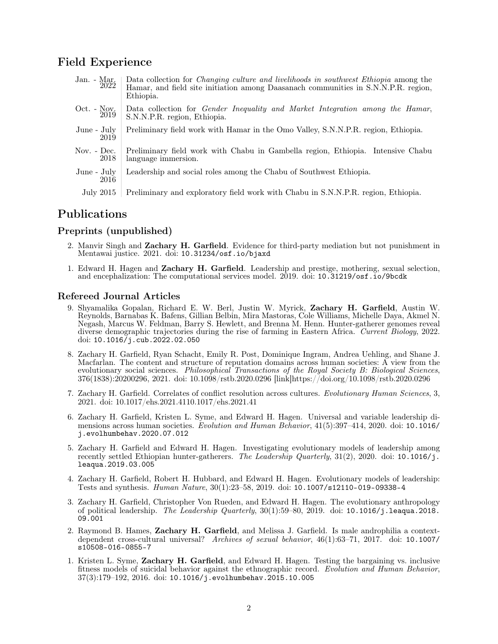### Field Experience

Jan. - Mar. 2022 Data collection for *Changing culture and livelihoods in southwest Ethiopia* among the Hamar, and field site initiation among Daasanach communities in S.N.N.P.R. region, Ethiopia. Oct. - Nov. 2019 Data collection for Gender Inequality and Market Integration among the Hamar, S.N.N.P.R. region, Ethiopia. June - July 2019 Preliminary field work with Hamar in the Omo Valley, S.N.N.P.R. region, Ethiopia. Nov. - Dec. 2018 Preliminary field work with Chabu in Gambella region, Ethiopia. Intensive Chabu language immersion. June - July 2016 Leadership and social roles among the Chabu of Southwest Ethiopia.

#### July 2015 Preliminary and exploratory field work with Chabu in S.N.N.P.R. region, Ethiopia.

# Publications

### Preprints (unpublished)

- 2. Manvir Singh and Zachary H. Garfield. Evidence for third-party mediation but not punishment in Mentawai justice. 2021. doi: 10.31234/osf.io/bjaxd
- 1. Edward H. Hagen and Zachary H. Garfield. Leadership and prestige, mothering, sexual selection, and encephalization: The computational services model. 2019. doi: 10.31219/osf.io/9bcdk

#### Refereed Journal Articles

- 9. Shyamalika Gopalan, Richard E. W. Berl, Justin W. Myrick, Zachary H. Garfield, Austin W. Reynolds, Barnabas K. Bafens, Gillian Belbin, Mira Mastoras, Cole Williams, Michelle Daya, Akmel N. Negash, Marcus W. Feldman, Barry S. Hewlett, and Brenna M. Henn. Hunter-gatherer genomes reveal diverse demographic trajectories during the rise of farming in Eastern Africa. Current Biology, 2022. doi:  $10.1016$ /j.cub.2022.02.050
- 8. Zachary H. Garfield, Ryan Schacht, Emily R. Post, Dominique Ingram, Andrea Uehling, and Shane J. Macfarlan. The content and structure of reputation domains across human societies: A view from the evolutionary social sciences. Philosophical Transactions of the Royal Society B: Biological Sciences, 376(1838):20200296, 2021. doi: 10.1098/rstb.2020.0296 [link]https://doi.org/10.1098/rstb.2020.0296
- 7. Zachary H. Garfield. Correlates of conflict resolution across cultures. Evolutionary Human Sciences, 3, 2021. doi: 10.1017/ehs.2021.4110.1017/ehs.2021.41
- 6. Zachary H. Garfield, Kristen L. Syme, and Edward H. Hagen. Universal and variable leadership dimensions across human societies. Evolution and Human Behavior, 41(5):397-414, 2020. doi: 10.1016/ j.evolhumbehav.2020.07.012
- 5. Zachary H. Garfield and Edward H. Hagen. Investigating evolutionary models of leadership among recently settled Ethiopian hunter-gatherers. The Leadership Quarterly, 31(2), 2020. doi: 10.1016/j. leaqua.2019.03.005
- 4. Zachary H. Garfield, Robert H. Hubbard, and Edward H. Hagen. Evolutionary models of leadership: Tests and synthesis. Human Nature, 30(1):23–58, 2019. doi: 10.1007/s12110-019-09338-4
- 3. Zachary H. Garfield, Christopher Von Rueden, and Edward H. Hagen. The evolutionary anthropology of political leadership. The Leadership Quarterly,  $30(1):59-80$ , 2019. doi: 10.1016/j.leaqua.2018. 09.001
- 2. Raymond B. Hames, Zachary H. Garfield, and Melissa J. Garfield. Is male androphilia a contextdependent cross-cultural universal? Archives of sexual behavior, 46(1):63-71, 2017. doi: 10.1007/ s10508-016-0855-7
- 1. Kristen L. Syme, Zachary H. Garfield, and Edward H. Hagen. Testing the bargaining vs. inclusive fitness models of suicidal behavior against the ethnographic record. Evolution and Human Behavior, 37(3):179–192, 2016. doi: 10.1016/j.evolhumbehav.2015.10.005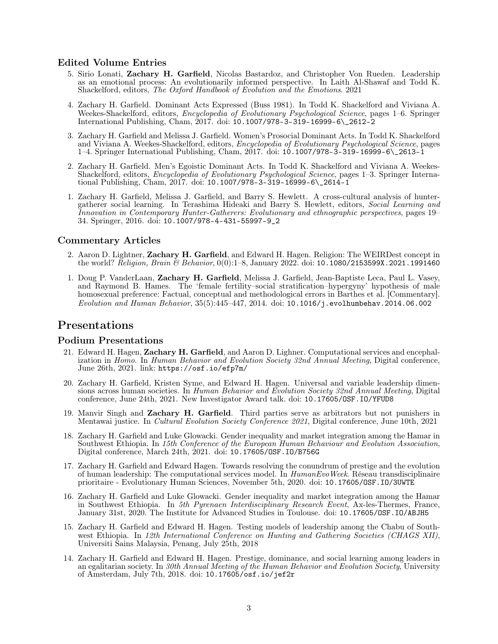#### Edited Volume Entries

- 5. Sirio Lonati, Zachary H. Garfield, Nicolas Bastardoz, and Christopher Von Rueden. Leadership as an emotional process: An evolutionarily informed perspective. In Laith Al-Shawaf and Todd K. Shackelford, editors, The Oxford Handbook of Evolution and the Emotions. 2021
- 4. Zachary H. Garfield. Dominant Acts Expressed (Buss 1981). In Todd K. Shackelford and Viviana A. Weekes-Shackelford, editors, *Encyclopedia of Evolutionary Psychological Science*, pages 1–6. Springer International Publishing, Cham, 2017. doi: 10.1007/978-3-319-16999-6\\_2612-2
- 3. Zachary H. Garfield and Melissa J. Garfield. Women's Prosocial Dominant Acts. In Todd K. Shackelford and Viviana A. Weekes-Shackelford, editors, Encyclopedia of Evolutionary Psychological Science, pages 1–4. Springer International Publishing, Cham, 2017. doi: 10.1007/978-3-319-16999-6\\_2613-1
- 2. Zachary H. Garfield. Men's Egoistic Dominant Acts. In Todd K. Shackelford and Viviana A. Weekes-Shackelford, editors, Encyclopedia of Evolutionary Psychological Science, pages 1–3. Springer International Publishing, Cham, 2017. doi: 10.1007/978-3-319-16999-6\\_2614-1
- 1. Zachary H. Garfield, Melissa J. Garfield, and Barry S. Hewlett. A cross-cultural analysis of huntergatherer social learning. In Terashima Hideaki and Barry S. Hewlett, editors, Social Learning and Innovation in Contemporary Hunter-Gatherers: Evolutionary and ethnographic perspectives, pages 19– 34. Springer, 2016. doi: 10.1007/978-4-431-55997-9\_2

#### Commentary Articles

- 2. Aaron D. Lightner, Zachary H. Garfield, and Edward H. Hagen. Religion: The WEIRDest concept in the world? Religion, Brain & Behavior, 0(0):1–8, January 2022. doi: 10.1080/2153599X.2021.1991460
- 1. Doug P. VanderLaan, Zachary H. Garfield, Melissa J. Garfield, Jean-Baptiste Leca, Paul L. Vasey, and Raymond B. Hames. The 'female fertility–social stratification–hypergyny' hypothesis of male homosexual preference: Factual, conceptual and methodological errors in Barthes et al. [Commentary]. Evolution and Human Behavior, 35(5):445–447, 2014. doi: 10.1016/j.evolhumbehav.2014.06.002

### Presentations

#### Podium Presentations

- 21. Edward H. Hagen, Zachary H. Garfield, and Aaron D. Lighner. Computational services and encephalization in Homo. In Human Behavior and Evolution Society 32nd Annual Meeting, Digital conference, June 26th, 2021. link: https://osf.io/efp7m/
- 20. Zachary H. Garfield, Kristen Syme, and Edward H. Hagen. Universal and variable leadership dimensions across human societies. In Human Behavior and Evolution Society 32nd Annual Meeting, Digital conference, June 24th, 2021. New Investigator Award talk. doi: 10.17605/OSF.IO/YFUD8
- 19. Manvir Singh and Zachary H. Garfield. Third parties serve as arbitrators but not punishers in Mentawai justice. In *Cultural Evolution Society Conference 2021*, Digital conference, June 10th, 2021
- 18. Zachary H. Garfield and Luke Glowacki. Gender inequality and market integration among the Hamar in Southwest Ethiopia. In 15th Conference of the European Human Behaviour and Evolution Association, Digital conference, March 24th, 2021. doi: 10.17605/OSF.IO/B756G
- 17. Zachary H. Garfield and Edward Hagen. Towards resolving the conundrum of prestige and the evolution of human leadership: The computational services model. In *HumanEvoWeek*. Réseau transdisciplinaire prioritaire - Evolutionary Human Sciences, November 5th, 2020. doi: 10.17605/OSF.IO/3UWTE
- 16. Zachary H. Garfield and Luke Glowacki. Gender inequality and market integration among the Hamar in Southwest Ethiopia. In 5th Pyrenaen Interdisciplinary Research Event, Ax-les-Thermes, France, January 31st, 2020. The Institute for Advanced Studies in Toulouse. doi: 10.17605/OSF.IO/ABJH5
- 15. Zachary H. Garfield and Edward H. Hagen. Testing models of leadership among the Chabu of Southwest Ethiopia. In 12th International Conference on Hunting and Gathering Societies (CHAGS XII), Universiti Sains Malaysia, Penang, July 25th, 2018
- 14. Zachary H. Garfield and Edward H. Hagen. Prestige, dominance, and social learning among leaders in an egalitarian society. In 30th Annual Meeting of the Human Behavior and Evolution Society, University of Amsterdam, July 7th, 2018. doi: 10.17605/osf.io/jef2r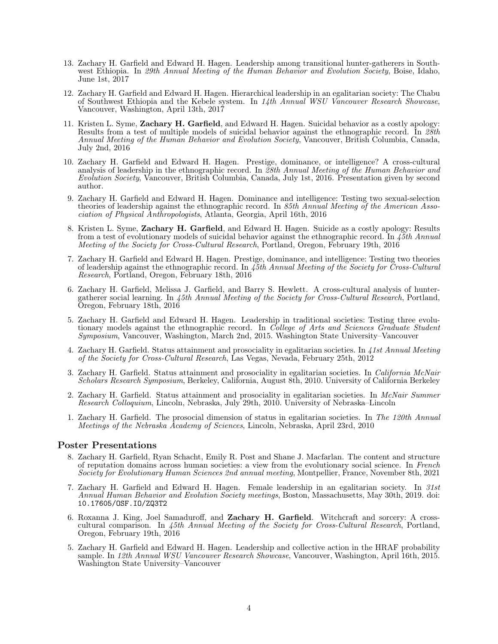- 13. Zachary H. Garfield and Edward H. Hagen. Leadership among transitional hunter-gatherers in Southwest Ethiopia. In 29th Annual Meeting of the Human Behavior and Evolution Society, Boise, Idaho, June 1st, 2017
- 12. Zachary H. Garfield and Edward H. Hagen. Hierarchical leadership in an egalitarian society: The Chabu of Southwest Ethiopia and the Kebele system. In 14th Annual WSU Vancouver Research Showcase, Vancouver, Washington, April 13th, 2017
- 11. Kristen L. Syme, Zachary H. Garfield, and Edward H. Hagen. Suicidal behavior as a costly apology: Results from a test of multiple models of suicidal behavior against the ethnographic record. In 28th Annual Meeting of the Human Behavior and Evolution Society, Vancouver, British Columbia, Canada, July 2nd, 2016
- 10. Zachary H. Garfield and Edward H. Hagen. Prestige, dominance, or intelligence? A cross-cultural analysis of leadership in the ethnographic record. In  $\tilde{\chi}8th$  Annual Meeting of the Human Behavior and Evolution Society, Vancouver, British Columbia, Canada, July 1st, 2016. Presentation given by second author.
- 9. Zachary H. Garfield and Edward H. Hagen. Dominance and intelligence: Testing two sexual-selection theories of leadership against the ethnographic record. In 85th Annual Meeting of the American Association of Physical Anthropologists, Atlanta, Georgia, April 16th, 2016
- 8. Kristen L. Syme, Zachary H. Garfield, and Edward H. Hagen. Suicide as a costly apology: Results from a test of evolutionary models of suicidal behavior against the ethnographic record. In  $\ddot{45th}$  Annual Meeting of the Society for Cross-Cultural Research, Portland, Oregon, February 19th, 2016
- 7. Zachary H. Garfield and Edward H. Hagen. Prestige, dominance, and intelligence: Testing two theories of leadership against the ethnographic record. In  $\tilde{45th}$  Annual Meeting of the Society for Cross-Cultural Research, Portland, Oregon, February 18th, 2016
- 6. Zachary H. Garfield, Melissa J. Garfield, and Barry S. Hewlett. A cross-cultural analysis of huntergatherer social learning. In 45th Annual Meeting of the Society for Cross-Cultural Research, Portland, Oregon, February 18th, 2016
- 5. Zachary H. Garfield and Edward H. Hagen. Leadership in traditional societies: Testing three evolutionary models against the ethnographic record. In College of Arts and Sciences Graduate Student Symposium, Vancouver, Washington, March 2nd, 2015. Washington State University–Vancouver
- 4. Zachary H. Garfield. Status attainment and prosociality in egalitarian societies. In 41st Annual Meeting of the Society for Cross-Cultural Research, Las Vegas, Nevada, February 25th, 2012
- 3. Zachary H. Garfield. Status attainment and prosociality in egalitarian societies. In California McNair Scholars Research Symposium, Berkeley, California, August 8th, 2010. University of California Berkeley
- 2. Zachary H. Garfield. Status attainment and prosociality in egalitarian societies. In McNair Summer Research Colloquium, Lincoln, Nebraska, July 29th, 2010. University of Nebraska–Lincoln
- 1. Zachary H. Garfield. The prosocial dimension of status in egalitarian societies. In The 120th Annual Meetings of the Nebraska Academy of Sciences, Lincoln, Nebraska, April 23rd, 2010

#### Poster Presentations

- 8. Zachary H. Garfield, Ryan Schacht, Emily R. Post and Shane J. Macfarlan. The content and structure of reputation domains across human societies: a view from the evolutionary social science. In French Society for Evolutionary Human Sciences 2nd annual meeting, Montpellier, France, November 8th, 2021
- 7. Zachary H. Garfield and Edward H. Hagen. Female leadership in an egalitarian society. In  $31st$ Annual Human Behavior and Evolution Society meetings, Boston, Massachusetts, May 30th, 2019. doi: 10.17605/OSF.IO/ZQ3T2
- 6. Roxanna J. King, Joel Samaduroff, and Zachary H. Garfield. Witchcraft and sorcery: A crosscultural comparison. In 45th Annual Meeting of the Society for Cross-Cultural Research, Portland, Oregon, February 19th, 2016
- 5. Zachary H. Garfield and Edward H. Hagen. Leadership and collective action in the HRAF probability sample. In 12th Annual WSU Vancouver Research Showcase, Vancouver, Washington, April 16th, 2015. Washington State University–Vancouver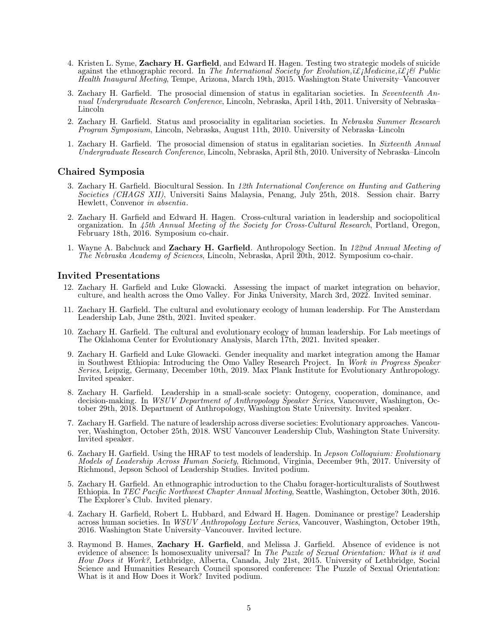- 4. Kristen L. Syme, Zachary H. Garfield, and Edward H. Hagen. Testing two strategic models of suicide against the ethnographic record. In The International Society for Evolution,  $i\mathcal{L}_i\mathcal{M}$ edicine,  $i\mathcal{L}_i\mathcal{B}$  Public Health Inaugural Meeting, Tempe, Arizona, March 19th, 2015. Washington State University–Vancouver
- 3. Zachary H. Garfield. The prosocial dimension of status in egalitarian societies. In Seventeenth Annual Undergraduate Research Conference, Lincoln, Nebraska, April 14th, 2011. University of Nebraska– Lincoln
- 2. Zachary H. Garfield. Status and prosociality in egalitarian societies. In Nebraska Summer Research Program Symposium, Lincoln, Nebraska, August 11th, 2010. University of Nebraska–Lincoln
- 1. Zachary H. Garfield. The prosocial dimension of status in egalitarian societies. In Sixteenth Annual Undergraduate Research Conference, Lincoln, Nebraska, April 8th, 2010. University of Nebraska–Lincoln

#### Chaired Symposia

- 3. Zachary H. Garfield. Biocultural Session. In 12th International Conference on Hunting and Gathering Societies (CHAGS XII), Universiti Sains Malaysia, Penang, July 25th, 2018. Session chair. Barry Hewlett, Convenor in absentia.
- 2. Zachary H. Garfield and Edward H. Hagen. Cross-cultural variation in leadership and sociopolitical organization. In 45th Annual Meeting of the Society for Cross-Cultural Research, Portland, Oregon, February 18th, 2016. Symposium co-chair.
- 1. Wayne A. Babchuck and Zachary H. Garfield. Anthropology Section. In 122nd Annual Meeting of The Nebraska Academy of Sciences, Lincoln, Nebraska, April 20th, 2012. Symposium co-chair.

#### Invited Presentations

- 12. Zachary H. Garfield and Luke Glowacki. Assessing the impact of market integration on behavior, culture, and health across the Omo Valley. For Jinka University, March 3rd, 2022. Invited seminar.
- 11. Zachary H. Garfield. The cultural and evolutionary ecology of human leadership. For The Amsterdam Leadership Lab, June 28th, 2021. Invited speaker.
- 10. Zachary H. Garfield. The cultural and evolutionary ecology of human leadership. For Lab meetings of The Oklahoma Center for Evolutionary Analysis, March 17th, 2021. Invited speaker.
- 9. Zachary H. Garfield and Luke Glowacki. Gender inequality and market integration among the Hamar in Southwest Ethiopia: Introducing the Omo Valley Research Project. In Work in Progress Speaker Series, Leipzig, Germany, December 10th, 2019. Max Plank Institute for Evolutionary Anthropology. Invited speaker.
- 8. Zachary H. Garfield. Leadership in a small-scale society: Ontogeny, cooperation, dominance, and decision-making. In *WSUV Department of Anthropology Speaker Series*, Vancouver, Washington, October 29th, 2018. Department of Anthropology, Washington State University. Invited speaker.
- 7. Zachary H. Garfield. The nature of leadership across diverse societies: Evolutionary approaches. Vancouver, Washington, October 25th, 2018. WSU Vancouver Leadership Club, Washington State University. Invited speaker.
- 6. Zachary H. Garfield. Using the HRAF to test models of leadership. In Jepson Colloquium: Evolutionary Models of Leadership Across Human Society, Richmond, Virginia, December 9th, 2017. University of Richmond, Jepson School of Leadership Studies. Invited podium.
- 5. Zachary H. Garfield. An ethnographic introduction to the Chabu forager-horticulturalists of Southwest Ethiopia. In TEC Pacific Northwest Chapter Annual Meeting, Seattle, Washington, October 30th, 2016. The Explorer's Club. Invited plenary.
- 4. Zachary H. Garfield, Robert L. Hubbard, and Edward H. Hagen. Dominance or prestige? Leadership across human societies. In WSUV Anthropology Lecture Series, Vancouver, Washington, October 19th, 2016. Washington State University–Vancouver. Invited lecture.
- 3. Raymond B. Hames, Zachary H. Garfield, and Melissa J. Garfield. Absence of evidence is not evidence of absence: Is homosexuality universal? In The Puzzle of Sexual Orientation: What is it and How Does it Work?, Lethbridge, Alberta, Canada, July 21st, 2015. University of Lethbridge, Social Science and Humanities Research Council sponsored conference: The Puzzle of Sexual Orientation: What is it and How Does it Work? Invited podium.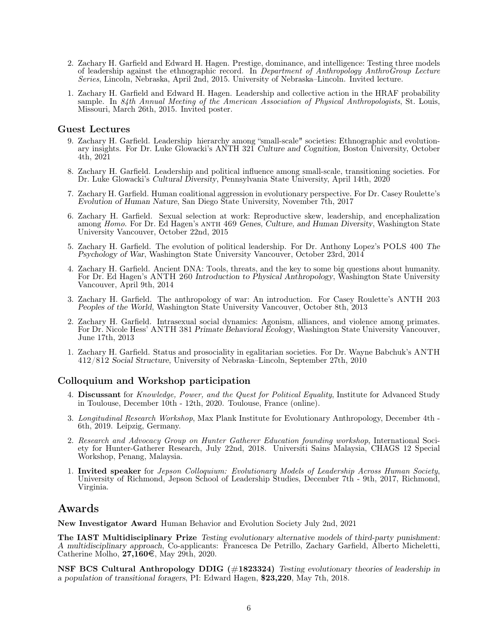- 2. Zachary H. Garfield and Edward H. Hagen. Prestige, dominance, and intelligence: Testing three models of leadership against the ethnographic record. In Department of Anthropology AnthroGroup Lecture Series, Lincoln, Nebraska, April 2nd, 2015. University of Nebraska–Lincoln. Invited lecture.
- 1. Zachary H. Garfield and Edward H. Hagen. Leadership and collective action in the HRAF probability sample. In 84th Annual Meeting of the American Association of Physical Anthropologists, St. Louis, Missouri, March 26th, 2015. Invited poster.

#### Guest Lectures

- 9. Zachary H. Garfield. Leadership hierarchy among "small-scale" societies: Ethnographic and evolutionary insights. For Dr. Luke Glowacki's ANTH 321 Culture and Cognition, Boston University, October 4th, 2021
- 8. Zachary H. Garfield. Leadership and political influence among small-scale, transitioning societies. For Dr. Luke Glowacki's Cultural Diversity, Pennsylvania State University, April 14th, 2020
- 7. Zachary H. Garfield. Human coalitional aggression in evolutionary perspective. For Dr. Casey Roulette's Evolution of Human Nature, San Diego State University, November 7th, 2017
- 6. Zachary H. Garfield. Sexual selection at work: Reproductive skew, leadership, and encephalization among Homo. For Dr. Ed Hagen's ANTH 469 Genes, Culture, and Human Diversity, Washington State University Vancouver, October 22nd, 2015
- 5. Zachary H. Garfield. The evolution of political leadership. For Dr. Anthony Lopez's POLS 400 The Psychology of War, Washington State University Vancouver, October 23rd, 2014
- 4. Zachary H. Garfield. Ancient DNA: Tools, threats, and the key to some big questions about humanity. For Dr. Ed Hagen's ANTH 260 Introduction to Physical Anthropology, Washington State University Vancouver, April 9th, 2014
- 3. Zachary H. Garfield. The anthropology of war: An introduction. For Casey Roulette's ANTH 203 Peoples of the World, Washington State University Vancouver, October 8th, 2013
- 2. Zachary H. Garfield. Intrasexual social dynamics: Agonism, alliances, and violence among primates. For Dr. Nicole Hess' ANTH 381 Primate Behavioral Ecology, Washington State University Vancouver, June 17th, 2013
- 1. Zachary H. Garfield. Status and prosociality in egalitarian societies. For Dr. Wayne Babchuk's ANTH 412/812 Social Structure, University of Nebraska–Lincoln, September 27th, 2010

#### Colloquium and Workshop participation

- 4. Discussant for Knowledge, Power, and the Quest for Political Equality, Institute for Advanced Study in Toulouse, December 10th - 12th, 2020. Toulouse, France (online).
- 3. Longitudinal Research Workshop, Max Plank Institute for Evolutionary Anthropology, December 4th 6th, 2019. Leipzig, Germany.
- 2. Research and Advocacy Group on Hunter Gatherer Education founding workshop, International Society for Hunter-Gatherer Research, July 22nd, 2018. Universiti Sains Malaysia, CHAGS 12 Special Workshop, Penang, Malaysia.
- 1. Invited speaker for Jepson Colloquium: Evolutionary Models of Leadership Across Human Society, University of Richmond, Jepson School of Leadership Studies, December 7th - 9th, 2017, Richmond, Virginia.

### Awards

New Investigator Award Human Behavior and Evolution Society July 2nd, 2021

The IAST Multidisciplinary Prize Testing evolutionary alternative models of third-party punishment: A multidisciplinary approach, Co-applicants: Francesca De Petrillo, Zachary Garfield, Alberto Micheletti, Catherine Molho,  $27,160\in$ , May 29th, 2020.

NSF BCS Cultural Anthropology DDIG (#1823324) Testing evolutionary theories of leadership in a population of transitional foragers, PI: Edward Hagen, \$23,220, May 7th, 2018.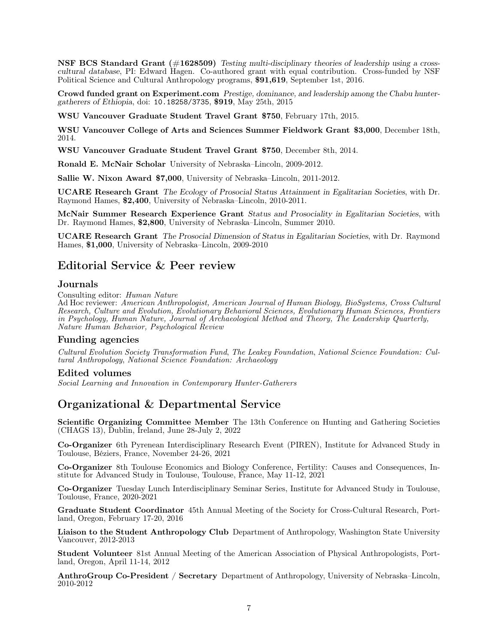NSF BCS Standard Grant (#1628509) Testing multi-disciplinary theories of leadership using a crosscultural database, PI: Edward Hagen. Co-authored grant with equal contribution. Cross-funded by NSF Political Science and Cultural Anthropology programs, \$91,619, September 1st, 2016.

Crowd funded grant on Experiment.com Prestige, dominance, and leadership among the Chabu huntergatherers of Ethiopia, doi: 10.18258/3735, \$919, May 25th, 2015

WSU Vancouver Graduate Student Travel Grant \$750, February 17th, 2015.

WSU Vancouver College of Arts and Sciences Summer Fieldwork Grant \$3,000, December 18th, 2014.

WSU Vancouver Graduate Student Travel Grant \$750, December 8th, 2014.

Ronald E. McNair Scholar University of Nebraska–Lincoln, 2009-2012.

Sallie W. Nixon Award \$7,000, University of Nebraska–Lincoln, 2011-2012.

UCARE Research Grant The Ecology of Prosocial Status Attainment in Egalitarian Societies, with Dr. Raymond Hames, \$2,400, University of Nebraska–Lincoln, 2010-2011.

McNair Summer Research Experience Grant Status and Prosociality in Egalitarian Societies, with Dr. Raymond Hames, \$2,800, University of Nebraska–Lincoln, Summer 2010.

UCARE Research Grant The Prosocial Dimension of Status in Egalitarian Societies, with Dr. Raymond Hames, \$1,000, University of Nebraska–Lincoln, 2009-2010

# Editorial Service & Peer review

#### Journals

Consulting editor: Human Nature

Ad Hoc reviewer: American Anthropologist, American Journal of Human Biology, BioSystems, Cross Cultural Research, Culture and Evolution, Evolutionary Behavioral Sciences, Evolutionary Human Sciences, Frontiers in Psychology, Human Nature, Journal of Archaeological Method and Theory, The Leadership Quarterly, Nature Human Behavior, Psychological Review

#### Funding agencies

Cultural Evolution Society Transformation Fund, The Leakey Foundation, National Science Foundation: Cultural Anthropology, National Science Foundation: Archaeology

#### Edited volumes

Social Learning and Innovation in Contemporary Hunter-Gatherers

# Organizational & Departmental Service

Scientific Organizing Committee Member The 13th Conference on Hunting and Gathering Societies (CHAGS 13), Dublin, Ireland, June 28-July 2, 2022

Co-Organizer 6th Pyrenean Interdisciplinary Research Event (PIREN), Institute for Advanced Study in Toulouse, Béziers, France, November 24-26, 2021

Co-Organizer 8th Toulouse Economics and Biology Conference, Fertility: Causes and Consequences, Institute for Advanced Study in Toulouse, Toulouse, France, May 11-12, 2021

Co-Organizer Tuesday Lunch Interdisciplinary Seminar Series, Institute for Advanced Study in Toulouse, Toulouse, France, 2020-2021

Graduate Student Coordinator 45th Annual Meeting of the Society for Cross-Cultural Research, Portland, Oregon, February 17-20, 2016

Liaison to the Student Anthropology Club Department of Anthropology, Washington State University Vancouver, 2012-2013

Student Volunteer 81st Annual Meeting of the American Association of Physical Anthropologists, Portland, Oregon, April 11-14, 2012

AnthroGroup Co-President / Secretary Department of Anthropology, University of Nebraska–Lincoln, 2010-2012